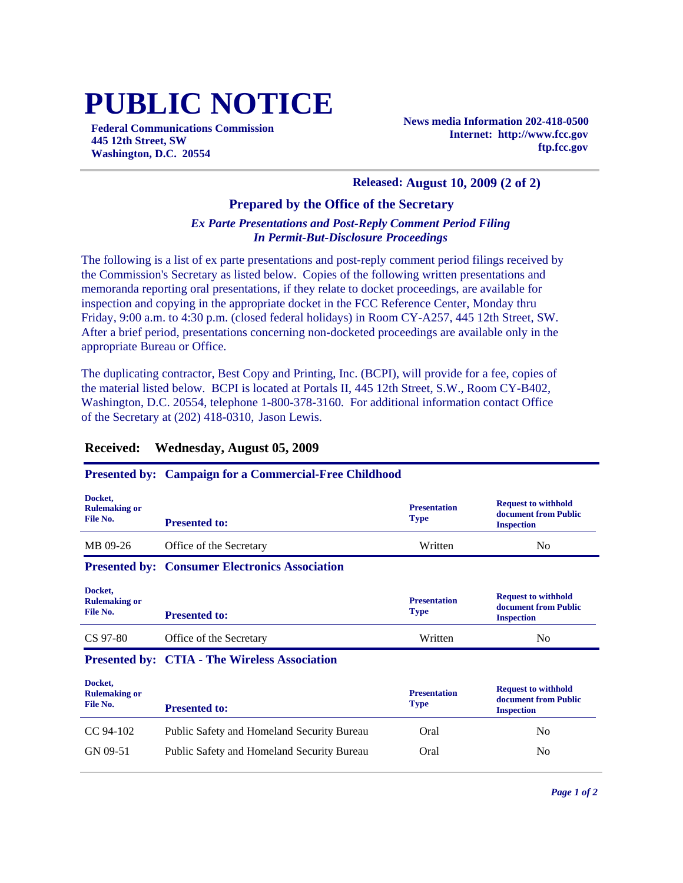# **PUBLIC NOTICE**

**Federal Communications Commission 445 12th Street, SW Washington, D.C. 20554**

**News media Information 202-418-0500 Internet: http://www.fcc.gov ftp.fcc.gov**

#### **Released: August 10, 2009 (2 of 2)**

### **Prepared by the Office of the Secretary**

#### *Ex Parte Presentations and Post-Reply Comment Period Filing In Permit-But-Disclosure Proceedings*

The following is a list of ex parte presentations and post-reply comment period filings received by the Commission's Secretary as listed below. Copies of the following written presentations and memoranda reporting oral presentations, if they relate to docket proceedings, are available for inspection and copying in the appropriate docket in the FCC Reference Center, Monday thru Friday, 9:00 a.m. to 4:30 p.m. (closed federal holidays) in Room CY-A257, 445 12th Street, SW. After a brief period, presentations concerning non-docketed proceedings are available only in the appropriate Bureau or Office.

The duplicating contractor, Best Copy and Printing, Inc. (BCPI), will provide for a fee, copies of the material listed below. BCPI is located at Portals II, 445 12th Street, S.W., Room CY-B402, Washington, D.C. 20554, telephone 1-800-378-3160. For additional information contact Office of the Secretary at (202) 418-0310, Jason Lewis.

#### **Received: Wednesday, August 05, 2009**

#### **Presented by: Campaign for a Commercial-Free Childhood**

| Docket,<br><b>Rulemaking or</b><br>File No. | <b>Presented to:</b>                                  | <b>Presentation</b><br><b>Type</b> | <b>Request to withhold</b><br>document from Public<br><b>Inspection</b> |
|---------------------------------------------|-------------------------------------------------------|------------------------------------|-------------------------------------------------------------------------|
| MB 09-26                                    | Office of the Secretary                               | Written                            | N <sub>0</sub>                                                          |
|                                             | <b>Presented by: Consumer Electronics Association</b> |                                    |                                                                         |
| Docket,<br><b>Rulemaking or</b><br>File No. | <b>Presented to:</b>                                  | <b>Presentation</b><br><b>Type</b> | <b>Request to withhold</b><br>document from Public<br><b>Inspection</b> |
| CS 97-80                                    | Office of the Secretary                               | Written                            | N <sub>0</sub>                                                          |

#### **Presented by: CTIA - The Wireless Association**

| Docket,<br><b>Rulemaking or</b><br>File No. | <b>Presented to:</b>                              | <b>Presentation</b><br><b>Type</b> | <b>Request to withhold</b><br>document from Public<br><b>Inspection</b> |
|---------------------------------------------|---------------------------------------------------|------------------------------------|-------------------------------------------------------------------------|
| CC 94-102                                   | Public Safety and Homeland Security Bureau        | Oral                               | N <sub>0</sub>                                                          |
| GN 09-51                                    | <b>Public Safety and Homeland Security Bureau</b> | Oral                               | No                                                                      |